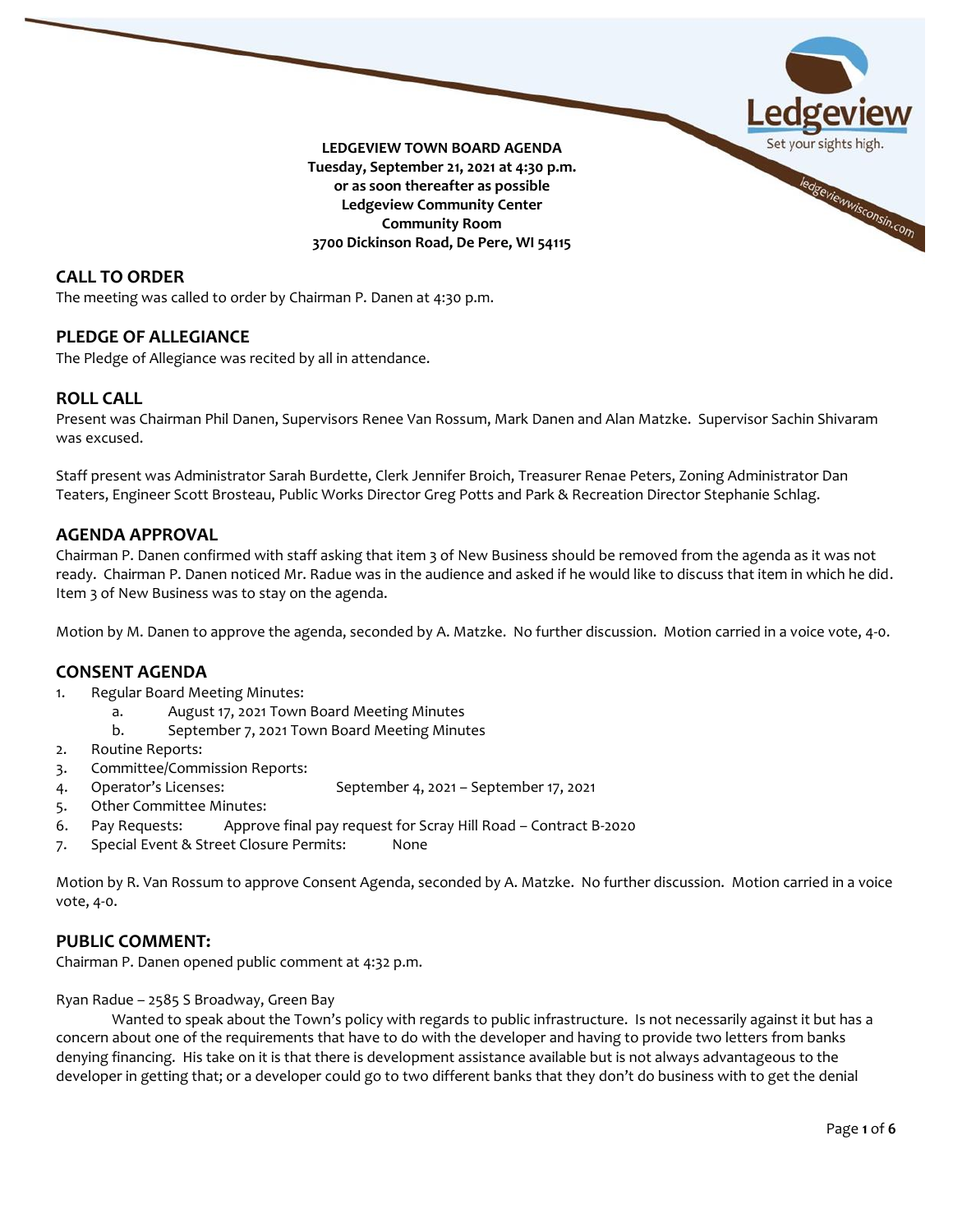

# **CALL TO ORDER**

The meeting was called to order by Chairman P. Danen at 4:30 p.m.

## **PLEDGE OF ALLEGIANCE**

The Pledge of Allegiance was recited by all in attendance.

## **ROLL CALL**

Present was Chairman Phil Danen, Supervisors Renee Van Rossum, Mark Danen and Alan Matzke. Supervisor Sachin Shivaram was excused.

Staff present was Administrator Sarah Burdette, Clerk Jennifer Broich, Treasurer Renae Peters, Zoning Administrator Dan Teaters, Engineer Scott Brosteau, Public Works Director Greg Potts and Park & Recreation Director Stephanie Schlag.

## **AGENDA APPROVAL**

Chairman P. Danen confirmed with staff asking that item 3 of New Business should be removed from the agenda as it was not ready. Chairman P. Danen noticed Mr. Radue was in the audience and asked if he would like to discuss that item in which he did. Item 3 of New Business was to stay on the agenda.

Motion by M. Danen to approve the agenda, seconded by A. Matzke. No further discussion. Motion carried in a voice vote, 4-0.

# **CONSENT AGENDA**

- 1. Regular Board Meeting Minutes:
	- a. August 17, 2021 Town Board Meeting Minutes
	- b. September 7, 2021 Town Board Meeting Minutes
- 2. Routine Reports:
- 3. Committee/Commission Reports:
- 4. Operator's Licenses: September 4, 2021 September 17, 2021
- 5. Other Committee Minutes:
- 6. Pay Requests: Approve final pay request for Scray Hill Road Contract B-2020
- 7. Special Event & Street Closure Permits: None

Motion by R. Van Rossum to approve Consent Agenda, seconded by A. Matzke. No further discussion. Motion carried in a voice vote, 4-0.

# **PUBLIC COMMENT:**

Chairman P. Danen opened public comment at 4:32 p.m.

Ryan Radue – 2585 S Broadway, Green Bay

Wanted to speak about the Town's policy with regards to public infrastructure. Is not necessarily against it but has a concern about one of the requirements that have to do with the developer and having to provide two letters from banks denying financing. His take on it is that there is development assistance available but is not always advantageous to the developer in getting that; or a developer could go to two different banks that they don't do business with to get the denial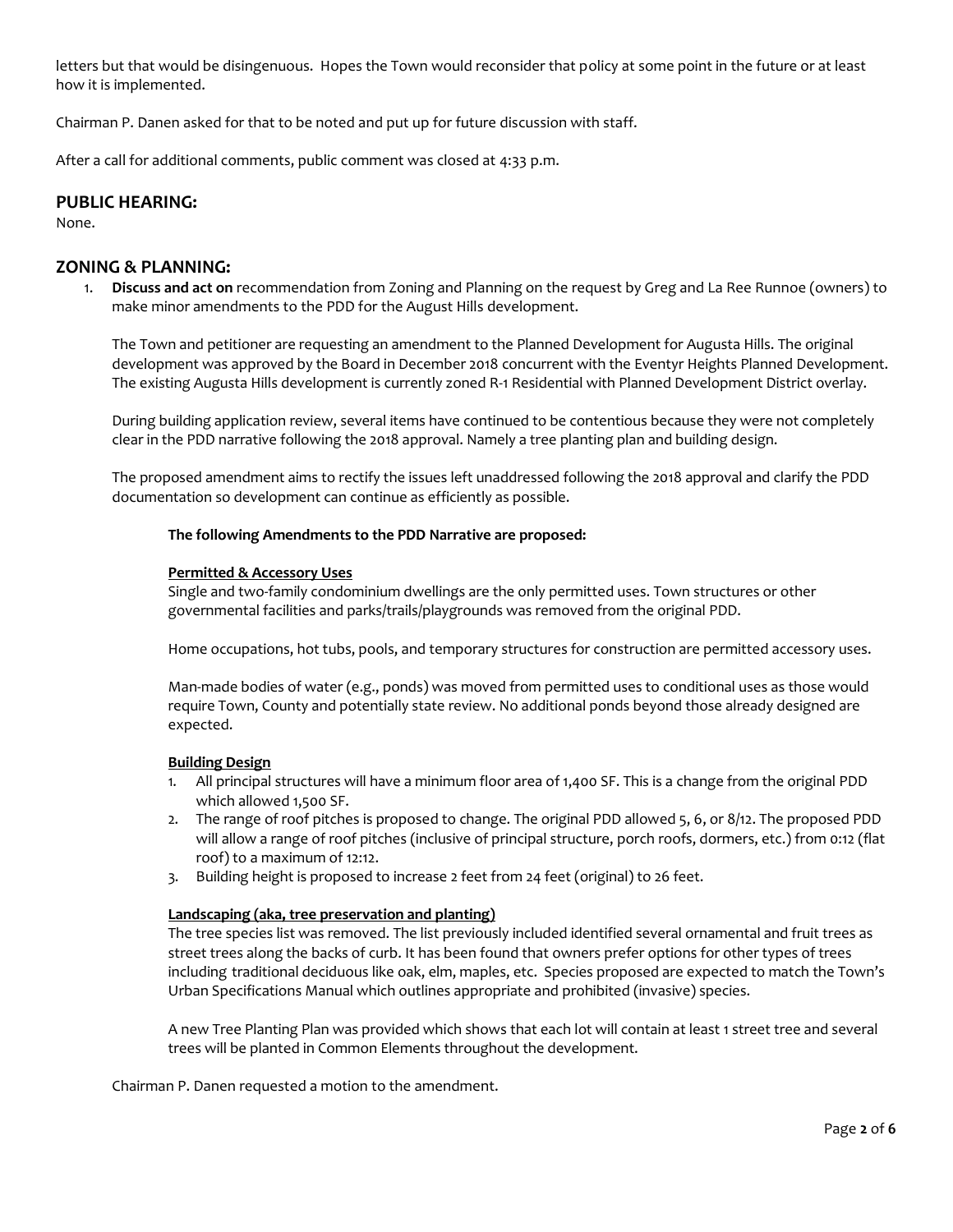letters but that would be disingenuous. Hopes the Town would reconsider that policy at some point in the future or at least how it is implemented.

Chairman P. Danen asked for that to be noted and put up for future discussion with staff.

After a call for additional comments, public comment was closed at 4:33 p.m.

## **PUBLIC HEARING:**

None.

# **ZONING & PLANNING:**

1. **Discuss and act on** recommendation from Zoning and Planning on the request by Greg and La Ree Runnoe (owners) to make minor amendments to the PDD for the August Hills development.

The Town and petitioner are requesting an amendment to the Planned Development for Augusta Hills. The original development was approved by the Board in December 2018 concurrent with the Eventyr Heights Planned Development. The existing Augusta Hills development is currently zoned R-1 Residential with Planned Development District overlay.

During building application review, several items have continued to be contentious because they were not completely clear in the PDD narrative following the 2018 approval. Namely a tree planting plan and building design.

The proposed amendment aims to rectify the issues left unaddressed following the 2018 approval and clarify the PDD documentation so development can continue as efficiently as possible.

## **The following Amendments to the PDD Narrative are proposed:**

#### **Permitted & Accessory Uses**

Single and two-family condominium dwellings are the only permitted uses. Town structures or other governmental facilities and parks/trails/playgrounds was removed from the original PDD.

Home occupations, hot tubs, pools, and temporary structures for construction are permitted accessory uses.

Man-made bodies of water (e.g., ponds) was moved from permitted uses to conditional uses as those would require Town, County and potentially state review. No additional ponds beyond those already designed are expected.

## **Building Design**

- 1. All principal structures will have a minimum floor area of 1,400 SF. This is a change from the original PDD which allowed 1,500 SF.
- 2. The range of roof pitches is proposed to change. The original PDD allowed 5, 6, or 8/12. The proposed PDD will allow a range of roof pitches (inclusive of principal structure, porch roofs, dormers, etc.) from 0:12 (flat roof) to a maximum of 12:12.
- 3. Building height is proposed to increase 2 feet from 24 feet (original) to 26 feet.

## **Landscaping (aka, tree preservation and planting)**

The tree species list was removed. The list previously included identified several ornamental and fruit trees as street trees along the backs of curb. It has been found that owners prefer options for other types of trees including traditional deciduous like oak, elm, maples, etc. Species proposed are expected to match the Town's Urban Specifications Manual which outlines appropriate and prohibited (invasive) species.

A new Tree Planting Plan was provided which shows that each lot will contain at least 1 street tree and several trees will be planted in Common Elements throughout the development.

Chairman P. Danen requested a motion to the amendment.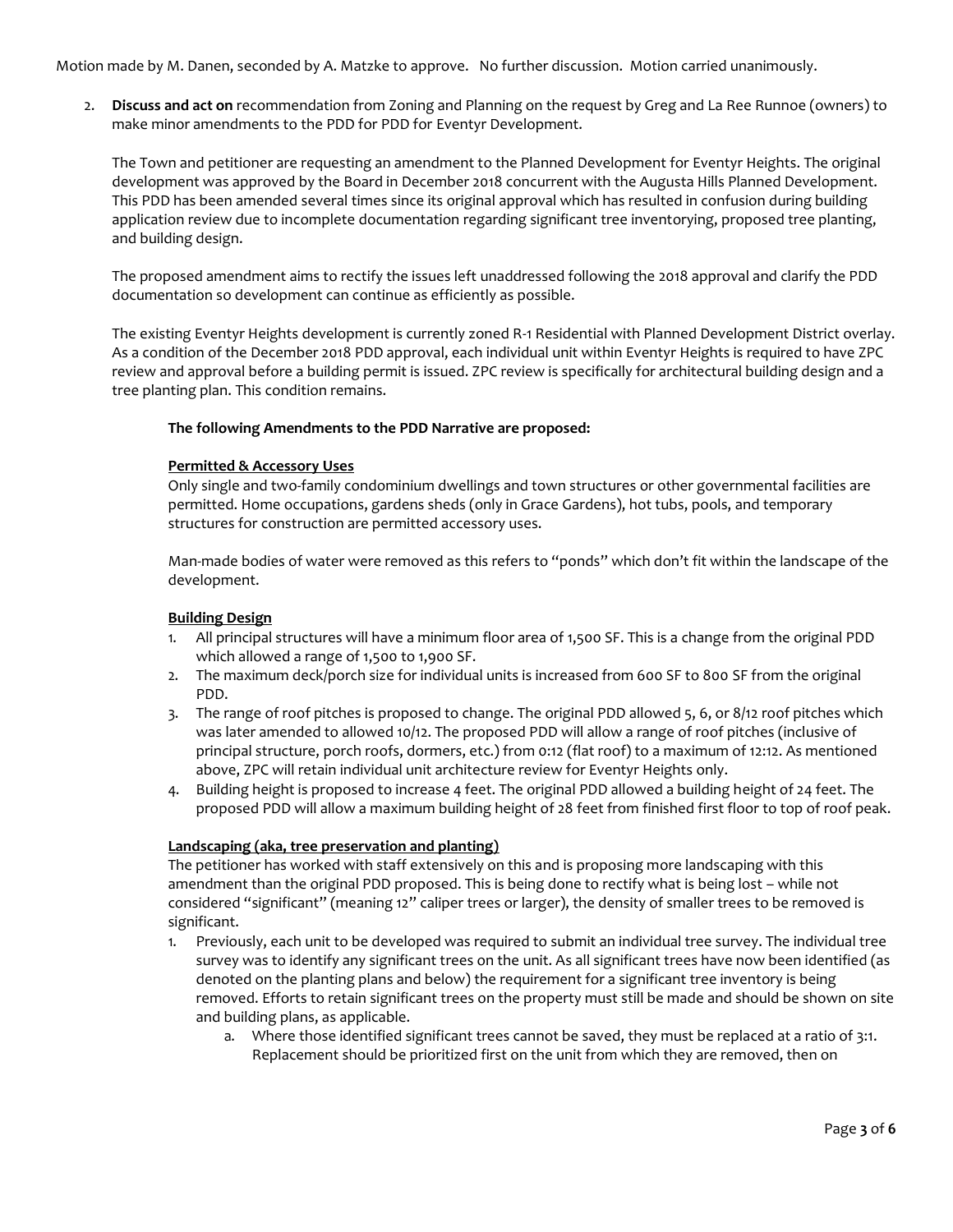Motion made by M. Danen, seconded by A. Matzke to approve. No further discussion. Motion carried unanimously.

2. **Discuss and act on** recommendation from Zoning and Planning on the request by Greg and La Ree Runnoe (owners) to make minor amendments to the PDD for PDD for Eventyr Development.

The Town and petitioner are requesting an amendment to the Planned Development for Eventyr Heights. The original development was approved by the Board in December 2018 concurrent with the Augusta Hills Planned Development. This PDD has been amended several times since its original approval which has resulted in confusion during building application review due to incomplete documentation regarding significant tree inventorying, proposed tree planting, and building design.

The proposed amendment aims to rectify the issues left unaddressed following the 2018 approval and clarify the PDD documentation so development can continue as efficiently as possible.

The existing Eventyr Heights development is currently zoned R-1 Residential with Planned Development District overlay. As a condition of the December 2018 PDD approval, each individual unit within Eventyr Heights is required to have ZPC review and approval before a building permit is issued. ZPC review is specifically for architectural building design and a tree planting plan. This condition remains.

#### **The following Amendments to the PDD Narrative are proposed:**

#### **Permitted & Accessory Uses**

Only single and two-family condominium dwellings and town structures or other governmental facilities are permitted. Home occupations, gardens sheds (only in Grace Gardens), hot tubs, pools, and temporary structures for construction are permitted accessory uses.

Man-made bodies of water were removed as this refers to "ponds" which don't fit within the landscape of the development.

#### **Building Design**

- 1. All principal structures will have a minimum floor area of 1,500 SF. This is a change from the original PDD which allowed a range of 1,500 to 1,900 SF.
- 2. The maximum deck/porch size for individual units is increased from 600 SF to 800 SF from the original PDD.
- 3. The range of roof pitches is proposed to change. The original PDD allowed 5, 6, or 8/12 roof pitches which was later amended to allowed 10/12. The proposed PDD will allow a range of roof pitches (inclusive of principal structure, porch roofs, dormers, etc.) from 0:12 (flat roof) to a maximum of 12:12. As mentioned above, ZPC will retain individual unit architecture review for Eventyr Heights only.
- 4. Building height is proposed to increase 4 feet. The original PDD allowed a building height of 24 feet. The proposed PDD will allow a maximum building height of 28 feet from finished first floor to top of roof peak.

## **Landscaping (aka, tree preservation and planting)**

The petitioner has worked with staff extensively on this and is proposing more landscaping with this amendment than the original PDD proposed. This is being done to rectify what is being lost – while not considered "significant" (meaning 12" caliper trees or larger), the density of smaller trees to be removed is significant.

- 1. Previously, each unit to be developed was required to submit an individual tree survey. The individual tree survey was to identify any significant trees on the unit. As all significant trees have now been identified (as denoted on the planting plans and below) the requirement for a significant tree inventory is being removed. Efforts to retain significant trees on the property must still be made and should be shown on site and building plans, as applicable.
	- a. Where those identified significant trees cannot be saved, they must be replaced at a ratio of 3:1. Replacement should be prioritized first on the unit from which they are removed, then on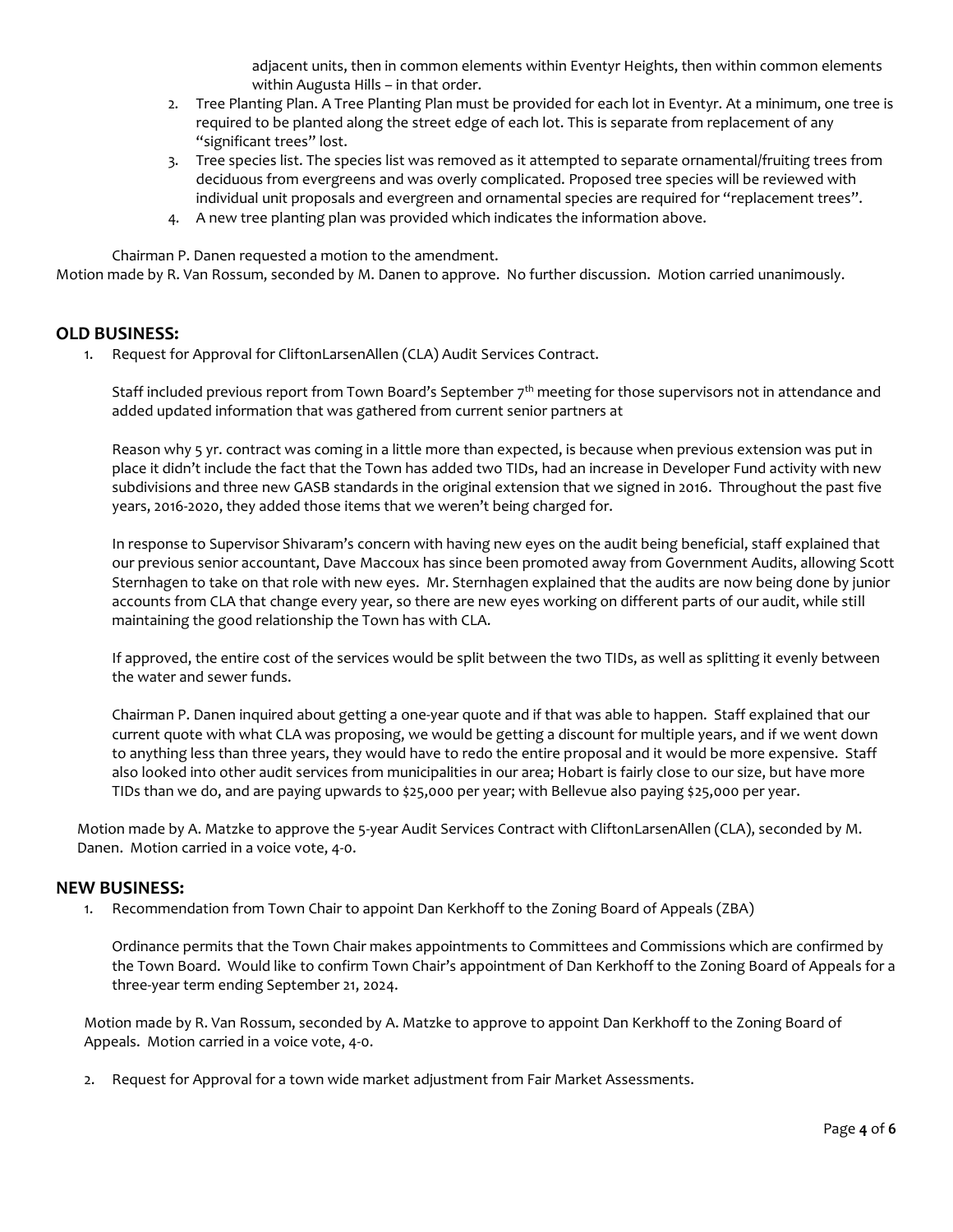adjacent units, then in common elements within Eventyr Heights, then within common elements within Augusta Hills – in that order.

- 2. Tree Planting Plan. A Tree Planting Plan must be provided for each lot in Eventyr. At a minimum, one tree is required to be planted along the street edge of each lot. This is separate from replacement of any "significant trees" lost.
- 3. Tree species list. The species list was removed as it attempted to separate ornamental/fruiting trees from deciduous from evergreens and was overly complicated. Proposed tree species will be reviewed with individual unit proposals and evergreen and ornamental species are required for "replacement trees".
- 4. A new tree planting plan was provided which indicates the information above.

Chairman P. Danen requested a motion to the amendment.

Motion made by R. Van Rossum, seconded by M. Danen to approve. No further discussion. Motion carried unanimously.

# **OLD BUSINESS:**

1. Request for Approval for CliftonLarsenAllen (CLA) Audit Services Contract.

Staff included previous report from Town Board's September 7 $^{\rm th}$  meeting for those supervisors not in attendance and added updated information that was gathered from current senior partners at

Reason why 5 yr. contract was coming in a little more than expected, is because when previous extension was put in place it didn't include the fact that the Town has added two TIDs, had an increase in Developer Fund activity with new subdivisions and three new GASB standards in the original extension that we signed in 2016. Throughout the past five years, 2016-2020, they added those items that we weren't being charged for.

In response to Supervisor Shivaram's concern with having new eyes on the audit being beneficial, staff explained that our previous senior accountant, Dave Maccoux has since been promoted away from Government Audits, allowing Scott Sternhagen to take on that role with new eyes. Mr. Sternhagen explained that the audits are now being done by junior accounts from CLA that change every year, so there are new eyes working on different parts of our audit, while still maintaining the good relationship the Town has with CLA.

If approved, the entire cost of the services would be split between the two TIDs, as well as splitting it evenly between the water and sewer funds.

Chairman P. Danen inquired about getting a one-year quote and if that was able to happen. Staff explained that our current quote with what CLA was proposing, we would be getting a discount for multiple years, and if we went down to anything less than three years, they would have to redo the entire proposal and it would be more expensive. Staff also looked into other audit services from municipalities in our area; Hobart is fairly close to our size, but have more TIDs than we do, and are paying upwards to \$25,000 per year; with Bellevue also paying \$25,000 per year.

Motion made by A. Matzke to approve the 5-year Audit Services Contract with CliftonLarsenAllen (CLA), seconded by M. Danen. Motion carried in a voice vote, 4-0.

## **NEW BUSINESS:**

1. Recommendation from Town Chair to appoint Dan Kerkhoff to the Zoning Board of Appeals (ZBA)

Ordinance permits that the Town Chair makes appointments to Committees and Commissions which are confirmed by the Town Board. Would like to confirm Town Chair's appointment of Dan Kerkhoff to the Zoning Board of Appeals for a three-year term ending September 21, 2024.

Motion made by R. Van Rossum, seconded by A. Matzke to approve to appoint Dan Kerkhoff to the Zoning Board of Appeals. Motion carried in a voice vote, 4-0.

2. Request for Approval for a town wide market adjustment from Fair Market Assessments.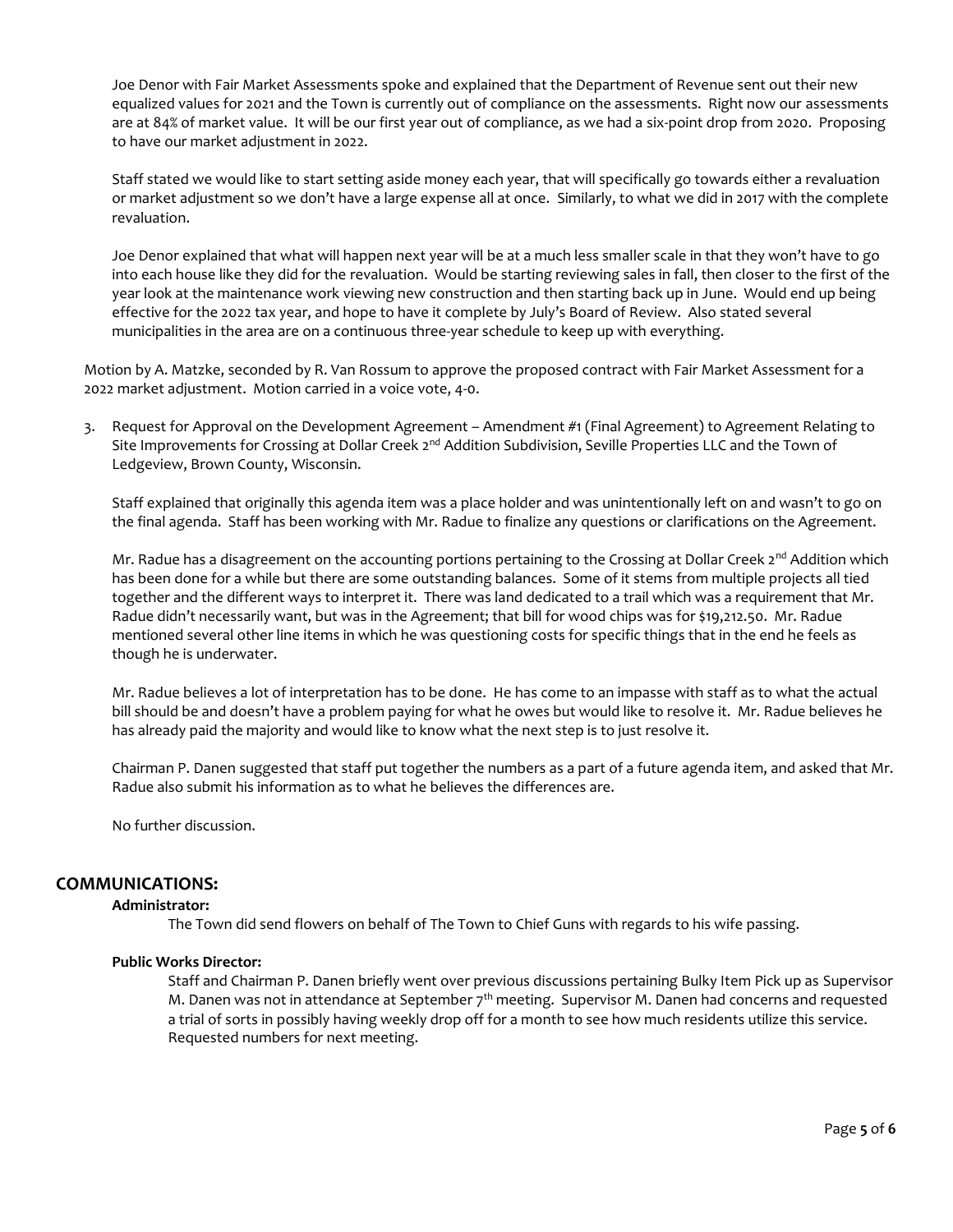Joe Denor with Fair Market Assessments spoke and explained that the Department of Revenue sent out their new equalized values for 2021 and the Town is currently out of compliance on the assessments. Right now our assessments are at 84% of market value. It will be our first year out of compliance, as we had a six-point drop from 2020. Proposing to have our market adjustment in 2022.

Staff stated we would like to start setting aside money each year, that will specifically go towards either a revaluation or market adjustment so we don't have a large expense all at once. Similarly, to what we did in 2017 with the complete revaluation.

Joe Denor explained that what will happen next year will be at a much less smaller scale in that they won't have to go into each house like they did for the revaluation. Would be starting reviewing sales in fall, then closer to the first of the year look at the maintenance work viewing new construction and then starting back up in June. Would end up being effective for the 2022 tax year, and hope to have it complete by July's Board of Review. Also stated several municipalities in the area are on a continuous three-year schedule to keep up with everything.

Motion by A. Matzke, seconded by R. Van Rossum to approve the proposed contract with Fair Market Assessment for a 2022 market adjustment. Motion carried in a voice vote, 4-0.

3. Request for Approval on the Development Agreement – Amendment #1 (Final Agreement) to Agreement Relating to Site Improvements for Crossing at Dollar Creek 2<sup>nd</sup> Addition Subdivision, Seville Properties LLC and the Town of Ledgeview, Brown County, Wisconsin.

Staff explained that originally this agenda item was a place holder and was unintentionally left on and wasn't to go on the final agenda. Staff has been working with Mr. Radue to finalize any questions or clarifications on the Agreement.

Mr. Radue has a disagreement on the accounting portions pertaining to the Crossing at Dollar Creek 2<sup>nd</sup> Addition which has been done for a while but there are some outstanding balances. Some of it stems from multiple projects all tied together and the different ways to interpret it. There was land dedicated to a trail which was a requirement that Mr. Radue didn't necessarily want, but was in the Agreement; that bill for wood chips was for \$19,212.50. Mr. Radue mentioned several other line items in which he was questioning costs for specific things that in the end he feels as though he is underwater.

Mr. Radue believes a lot of interpretation has to be done. He has come to an impasse with staff as to what the actual bill should be and doesn't have a problem paying for what he owes but would like to resolve it. Mr. Radue believes he has already paid the majority and would like to know what the next step is to just resolve it.

Chairman P. Danen suggested that staff put together the numbers as a part of a future agenda item, and asked that Mr. Radue also submit his information as to what he believes the differences are.

No further discussion.

# **COMMUNICATIONS:**

#### **Administrator:**

The Town did send flowers on behalf of The Town to Chief Guns with regards to his wife passing.

#### **Public Works Director:**

Staff and Chairman P. Danen briefly went over previous discussions pertaining Bulky Item Pick up as Supervisor M. Danen was not in attendance at September  $7<sup>th</sup>$  meeting. Supervisor M. Danen had concerns and requested a trial of sorts in possibly having weekly drop off for a month to see how much residents utilize this service. Requested numbers for next meeting.